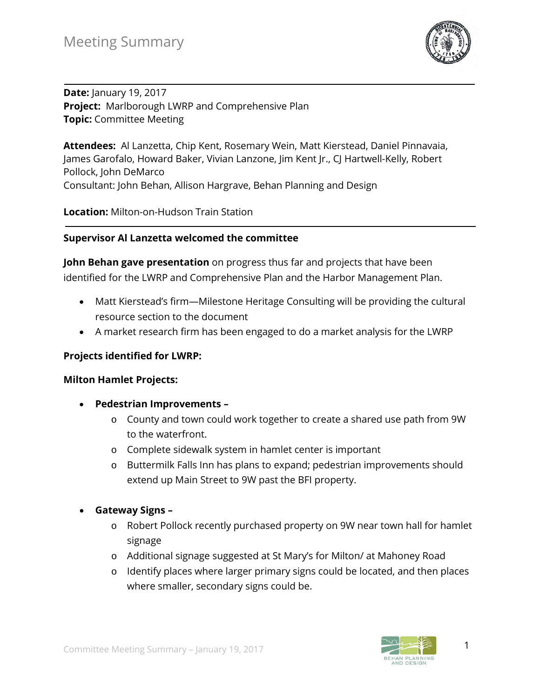

**Date:** January 19, 2017 **Project:** Marlborough LWRP and Comprehensive Plan **Topic:** Committee Meeting

**Attendees:** Al Lanzetta, Chip Kent, Rosemary Wein, Matt Kierstead, Daniel Pinnavaia, James Garofalo, Howard Baker, Vivian Lanzone, Jim Kent Jr., CJ Hartwell-Kelly, Robert Pollock, John DeMarco Consultant: John Behan, Allison Hargrave, Behan Planning and Design

**Location:** Milton-on-Hudson Train Station

#### **Supervisor Al Lanzetta welcomed the committee**

**John Behan gave presentation** on progress thus far and projects that have been identified for the LWRP and Comprehensive Plan and the Harbor Management Plan.

- Matt Kierstead's firm—Milestone Heritage Consulting will be providing the cultural resource section to the document
- A market research firm has been engaged to do a market analysis for the LWRP

#### **Projects identified for LWRP:**

#### **Milton Hamlet Projects:**

- **Pedestrian Improvements –**
	- o County and town could work together to create a shared use path from 9W to the waterfront.
	- o Complete sidewalk system in hamlet center is important
	- o Buttermilk Falls Inn has plans to expand; pedestrian improvements should extend up Main Street to 9W past the BFI property.
- **Gateway Signs –**
	- o Robert Pollock recently purchased property on 9W near town hall for hamlet signage
	- o Additional signage suggested at St Mary's for Milton/ at Mahoney Road
	- o Identify places where larger primary signs could be located, and then places where smaller, secondary signs could be.

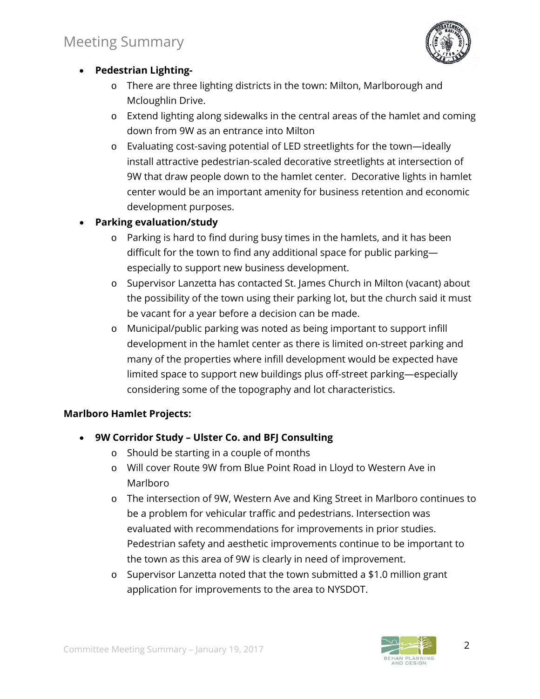

## • **Pedestrian Lighting-**

- o There are three lighting districts in the town: Milton, Marlborough and Mcloughlin Drive.
- o Extend lighting along sidewalks in the central areas of the hamlet and coming down from 9W as an entrance into Milton
- o Evaluating cost-saving potential of LED streetlights for the town—ideally install attractive pedestrian-scaled decorative streetlights at intersection of 9W that draw people down to the hamlet center. Decorative lights in hamlet center would be an important amenity for business retention and economic development purposes.

## • **Parking evaluation/study**

- o Parking is hard to find during busy times in the hamlets, and it has been difficult for the town to find any additional space for public parking especially to support new business development.
- o Supervisor Lanzetta has contacted St. James Church in Milton (vacant) about the possibility of the town using their parking lot, but the church said it must be vacant for a year before a decision can be made.
- o Municipal/public parking was noted as being important to support infill development in the hamlet center as there is limited on-street parking and many of the properties where infill development would be expected have limited space to support new buildings plus off-street parking—especially considering some of the topography and lot characteristics.

### **Marlboro Hamlet Projects:**

- **9W Corridor Study – Ulster Co. and BFJ Consulting**
	- o Should be starting in a couple of months
	- o Will cover Route 9W from Blue Point Road in Lloyd to Western Ave in Marlboro
	- o The intersection of 9W, Western Ave and King Street in Marlboro continues to be a problem for vehicular traffic and pedestrians. Intersection was evaluated with recommendations for improvements in prior studies. Pedestrian safety and aesthetic improvements continue to be important to the town as this area of 9W is clearly in need of improvement.
	- $\circ$  Supervisor Lanzetta noted that the town submitted a \$1.0 million grant application for improvements to the area to NYSDOT.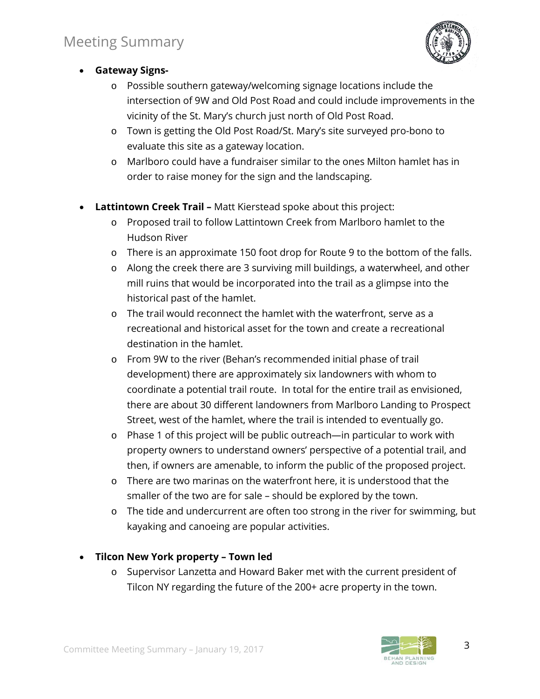

- **Gateway Signs**
	- o Possible southern gateway/welcoming signage locations include the intersection of 9W and Old Post Road and could include improvements in the vicinity of the St. Mary's church just north of Old Post Road.
	- o Town is getting the Old Post Road/St. Mary's site surveyed pro-bono to evaluate this site as a gateway location.
	- o Marlboro could have a fundraiser similar to the ones Milton hamlet has in order to raise money for the sign and the landscaping.
- **Lattintown Creek Trail –** Matt Kierstead spoke about this project:
	- o Proposed trail to follow Lattintown Creek from Marlboro hamlet to the Hudson River
	- o There is an approximate 150 foot drop for Route 9 to the bottom of the falls.
	- o Along the creek there are 3 surviving mill buildings, a waterwheel, and other mill ruins that would be incorporated into the trail as a glimpse into the historical past of the hamlet.
	- o The trail would reconnect the hamlet with the waterfront, serve as a recreational and historical asset for the town and create a recreational destination in the hamlet.
	- o From 9W to the river (Behan's recommended initial phase of trail development) there are approximately six landowners with whom to coordinate a potential trail route. In total for the entire trail as envisioned, there are about 30 different landowners from Marlboro Landing to Prospect Street, west of the hamlet, where the trail is intended to eventually go.
	- o Phase 1 of this project will be public outreach—in particular to work with property owners to understand owners' perspective of a potential trail, and then, if owners are amenable, to inform the public of the proposed project.
	- o There are two marinas on the waterfront here, it is understood that the smaller of the two are for sale – should be explored by the town.
	- o The tide and undercurrent are often too strong in the river for swimming, but kayaking and canoeing are popular activities.

## • **Tilcon New York property – Town led**

o Supervisor Lanzetta and Howard Baker met with the current president of Tilcon NY regarding the future of the 200+ acre property in the town.

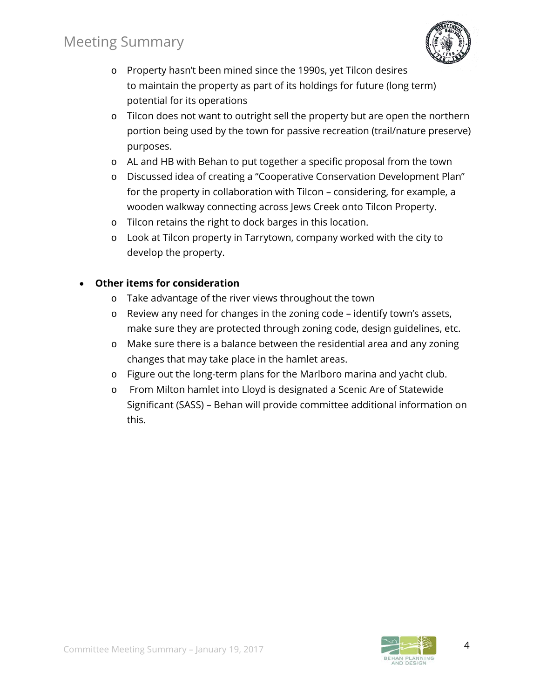# Meeting Summary



- o Property hasn't been mined since the 1990s, yet Tilcon desires to maintain the property as part of its holdings for future (long term) potential for its operations
- o Tilcon does not want to outright sell the property but are open the northern portion being used by the town for passive recreation (trail/nature preserve) purposes.
- o AL and HB with Behan to put together a specific proposal from the town
- o Discussed idea of creating a "Cooperative Conservation Development Plan" for the property in collaboration with Tilcon – considering, for example, a wooden walkway connecting across Jews Creek onto Tilcon Property.
- o Tilcon retains the right to dock barges in this location.
- o Look at Tilcon property in Tarrytown, company worked with the city to develop the property.

#### • **Other items for consideration**

- o Take advantage of the river views throughout the town
- o Review any need for changes in the zoning code identify town's assets, make sure they are protected through zoning code, design guidelines, etc.
- o Make sure there is a balance between the residential area and any zoning changes that may take place in the hamlet areas.
- o Figure out the long-term plans for the Marlboro marina and yacht club.
- o From Milton hamlet into Lloyd is designated a Scenic Are of Statewide Significant (SASS) – Behan will provide committee additional information on this.